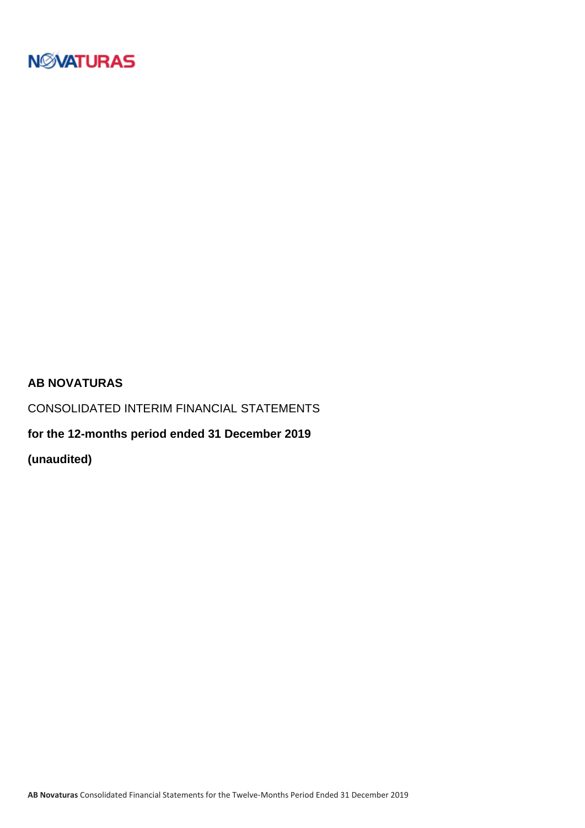

### **AB NOVATURAS**

CONSOLIDATED INTERIM FINANCIAL STATEMENTS

**for the 12-months period ended 31 December 2019**

**(unaudited)**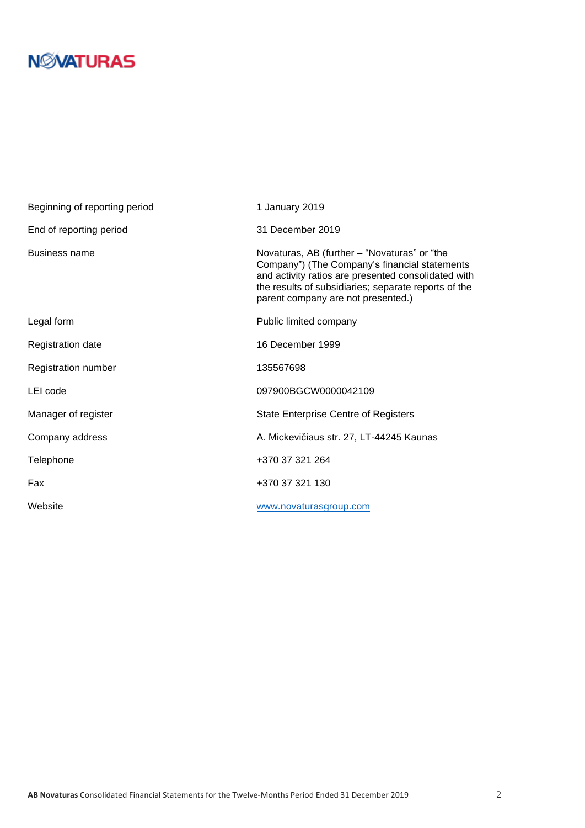# **N***N***XATURAS**

| Beginning of reporting period | 1 January 2019                                                                                                                                                                                                                                     |
|-------------------------------|----------------------------------------------------------------------------------------------------------------------------------------------------------------------------------------------------------------------------------------------------|
| End of reporting period       | 31 December 2019                                                                                                                                                                                                                                   |
| <b>Business name</b>          | Novaturas, AB (further – "Novaturas" or "the<br>Company") (The Company's financial statements<br>and activity ratios are presented consolidated with<br>the results of subsidiaries; separate reports of the<br>parent company are not presented.) |
| Legal form                    | Public limited company                                                                                                                                                                                                                             |
| Registration date             | 16 December 1999                                                                                                                                                                                                                                   |
| Registration number           | 135567698                                                                                                                                                                                                                                          |
| LEI code                      | 097900BGCW0000042109                                                                                                                                                                                                                               |
| Manager of register           | <b>State Enterprise Centre of Registers</b>                                                                                                                                                                                                        |
| Company address               | A. Mickevičiaus str. 27, LT-44245 Kaunas                                                                                                                                                                                                           |
| Telephone                     | +370 37 321 264                                                                                                                                                                                                                                    |
| Fax                           | +370 37 321 130                                                                                                                                                                                                                                    |
| Website                       | www.novaturasgroup.com                                                                                                                                                                                                                             |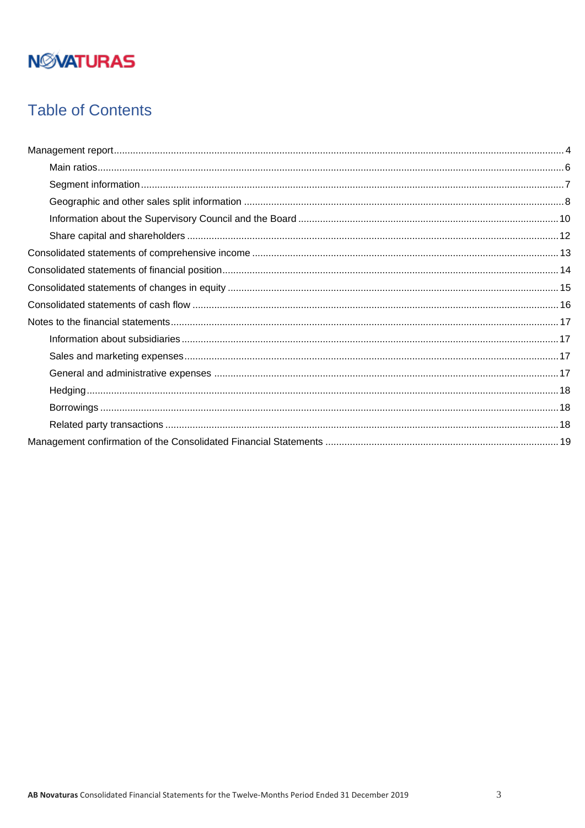# **NMATURAS**

## **Table of Contents**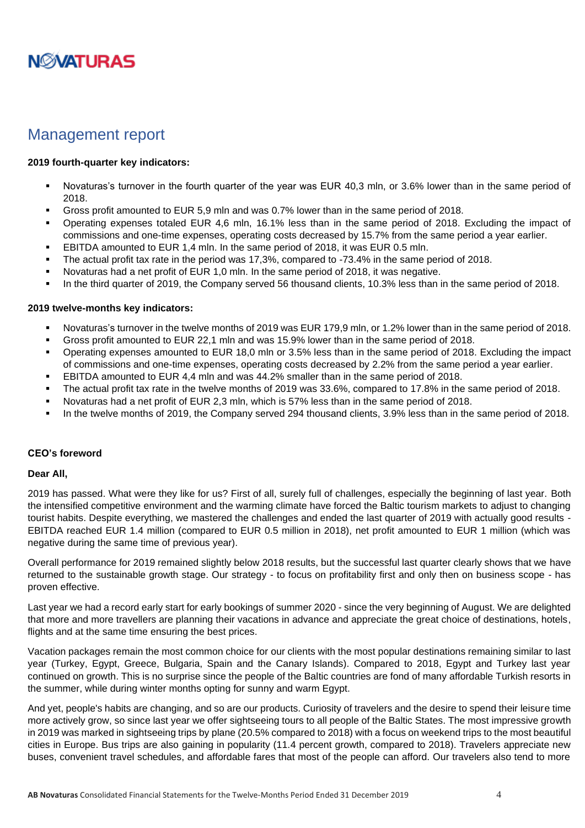

### <span id="page-3-0"></span>Management report

#### **2019 fourth-quarter key indicators:**

- Novaturas's turnover in the fourth quarter of the year was EUR 40,3 mln, or 3.6% lower than in the same period of 2018.
- Gross profit amounted to EUR 5.9 mln and was 0.7% lower than in the same period of 2018.
- Operating expenses totaled EUR 4,6 mln, 16.1% less than in the same period of 2018. Excluding the impact of commissions and one-time expenses, operating costs decreased by 15.7% from the same period a year earlier.
- EBITDA amounted to EUR 1,4 mln. In the same period of 2018, it was EUR 0.5 mln.
- The actual profit tax rate in the period was 17,3%, compared to -73.4% in the same period of 2018.
- Novaturas had a net profit of EUR 1,0 mln. In the same period of 2018, it was negative.
- In the third quarter of 2019, the Company served 56 thousand clients, 10.3% less than in the same period of 2018.

#### **2019 twelve-months key indicators:**

- Novaturas's turnover in the twelve months of 2019 was EUR 179,9 mln, or 1.2% lower than in the same period of 2018.
- Gross profit amounted to EUR 22,1 mln and was 15.9% lower than in the same period of 2018.
- Operating expenses amounted to EUR 18,0 mln or 3.5% less than in the same period of 2018. Excluding the impact of commissions and one-time expenses, operating costs decreased by 2.2% from the same period a year earlier.
- **EBITDA amounted to EUR 4.4 mln and was 44.2% smaller than in the same period of 2018.**
- The actual profit tax rate in the twelve months of 2019 was 33.6%, compared to 17.8% in the same period of 2018.
- Novaturas had a net profit of EUR 2,3 mln, which is 57% less than in the same period of 2018.
- In the twelve months of 2019, the Company served 294 thousand clients, 3.9% less than in the same period of 2018.

#### **CEO's foreword**

#### **Dear All,**

2019 has passed. What were they like for us? First of all, surely full of challenges, especially the beginning of last year. Both the intensified competitive environment and the warming climate have forced the Baltic tourism markets to adjust to changing tourist habits. Despite everything, we mastered the challenges and ended the last quarter of 2019 with actually good results - EBITDA reached EUR 1.4 million (compared to EUR 0.5 million in 2018), net profit amounted to EUR 1 million (which was negative during the same time of previous year).

Overall performance for 2019 remained slightly below 2018 results, but the successful last quarter clearly shows that we have returned to the sustainable growth stage. Our strategy - to focus on profitability first and only then on business scope - has proven effective.

Last year we had a record early start for early bookings of summer 2020 - since the very beginning of August. We are delighted that more and more travellers are planning their vacations in advance and appreciate the great choice of destinations, hotels, flights and at the same time ensuring the best prices.

Vacation packages remain the most common choice for our clients with the most popular destinations remaining similar to last year (Turkey, Egypt, Greece, Bulgaria, Spain and the Canary Islands). Compared to 2018, Egypt and Turkey last year continued on growth. This is no surprise since the people of the Baltic countries are fond of many affordable Turkish resorts in the summer, while during winter months opting for sunny and warm Egypt.

And yet, people's habits are changing, and so are our products. Curiosity of travelers and the desire to spend their leisure time more actively grow, so since last year we offer sightseeing tours to all people of the Baltic States. The most impressive growth in 2019 was marked in sightseeing trips by plane (20.5% compared to 2018) with a focus on weekend trips to the most beautiful cities in Europe. Bus trips are also gaining in popularity (11.4 percent growth, compared to 2018). Travelers appreciate new buses, convenient travel schedules, and affordable fares that most of the people can afford. Our travelers also tend to more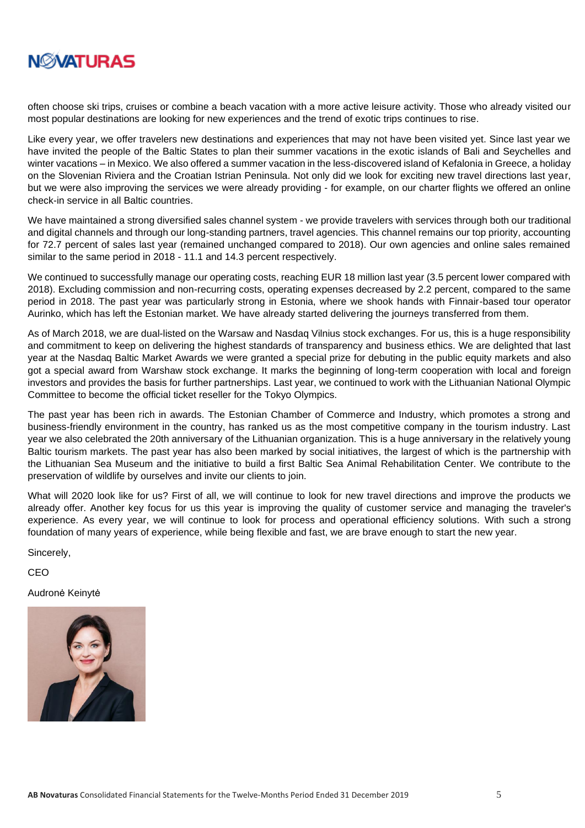

often choose ski trips, cruises or combine a beach vacation with a more active leisure activity. Those who already visited our most popular destinations are looking for new experiences and the trend of exotic trips continues to rise.

Like every year, we offer travelers new destinations and experiences that may not have been visited yet. Since last year we have invited the people of the Baltic States to plan their summer vacations in the exotic islands of Bali and Seychelles and winter vacations – in Mexico. We also offered a summer vacation in the less-discovered island of Kefalonia in Greece, a holiday on the Slovenian Riviera and the Croatian Istrian Peninsula. Not only did we look for exciting new travel directions last year, but we were also improving the services we were already providing - for example, on our charter flights we offered an online check-in service in all Baltic countries.

We have maintained a strong diversified sales channel system - we provide travelers with services through both our traditional and digital channels and through our long-standing partners, travel agencies. This channel remains our top priority, accounting for 72.7 percent of sales last year (remained unchanged compared to 2018). Our own agencies and online sales remained similar to the same period in 2018 - 11.1 and 14.3 percent respectively.

We continued to successfully manage our operating costs, reaching EUR 18 million last year (3.5 percent lower compared with 2018). Excluding commission and non-recurring costs, operating expenses decreased by 2.2 percent, compared to the same period in 2018. The past year was particularly strong in Estonia, where we shook hands with Finnair-based tour operator Aurinko, which has left the Estonian market. We have already started delivering the journeys transferred from them.

As of March 2018, we are dual-listed on the Warsaw and Nasdaq Vilnius stock exchanges. For us, this is a huge responsibility and commitment to keep on delivering the highest standards of transparency and business ethics. We are delighted that last year at the Nasdaq Baltic Market Awards we were granted a special prize for debuting in the public equity markets and also got a special award from Warshaw stock exchange. It marks the beginning of long-term cooperation with local and foreign investors and provides the basis for further partnerships. Last year, we continued to work with the Lithuanian National Olympic Committee to become the official ticket reseller for the Tokyo Olympics.

The past year has been rich in awards. The Estonian Chamber of Commerce and Industry, which promotes a strong and business-friendly environment in the country, has ranked us as the most competitive company in the tourism industry. Last year we also celebrated the 20th anniversary of the Lithuanian organization. This is a huge anniversary in the relatively young Baltic tourism markets. The past year has also been marked by social initiatives, the largest of which is the partnership with the Lithuanian Sea Museum and the initiative to build a first Baltic Sea Animal Rehabilitation Center. We contribute to the preservation of wildlife by ourselves and invite our clients to join.

What will 2020 look like for us? First of all, we will continue to look for new travel directions and improve the products we already offer. Another key focus for us this year is improving the quality of customer service and managing the traveler's experience. As every year, we will continue to look for process and operational efficiency solutions. With such a strong foundation of many years of experience, while being flexible and fast, we are brave enough to start the new year.

Sincerely,

CEO

Audronė Keinytė

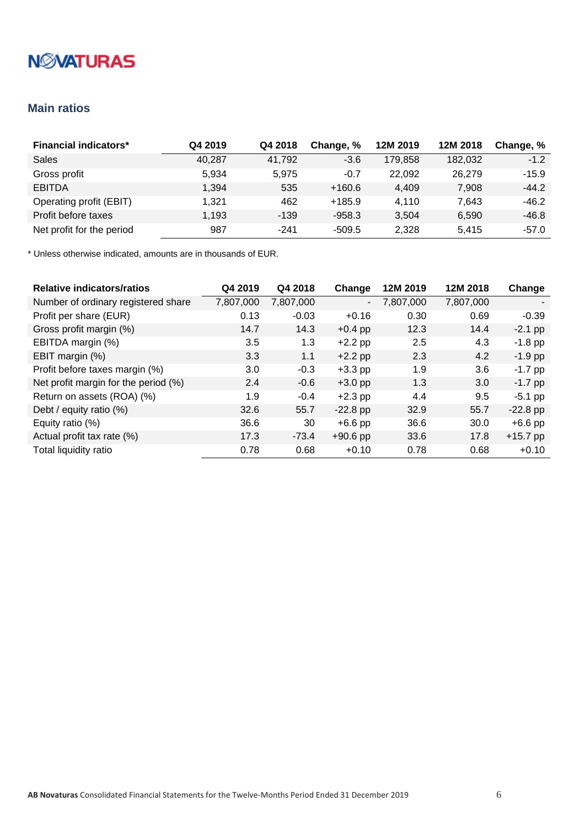# **NMATURAS**

### <span id="page-5-0"></span>**Main ratios**

| <b>Financial indicators*</b> | Q4 2019 | Q4 2018 | Change, % | 12M 2019 | 12M 2018 | Change, % |
|------------------------------|---------|---------|-----------|----------|----------|-----------|
| Sales                        | 40,287  | 41,792  | $-3.6$    | 179.858  | 182,032  | $-1.2$    |
| Gross profit                 | 5.934   | 5.975   | $-0.7$    | 22.092   | 26,279   | $-15.9$   |
| <b>EBITDA</b>                | 1.394   | 535     | $+160.6$  | 4,409    | 7,908    | $-44.2$   |
| Operating profit (EBIT)      | 1.321   | 462     | $+185.9$  | 4.110    | 7.643    | $-46.2$   |
| Profit before taxes          | 1.193   | $-139$  | $-958.3$  | 3.504    | 6,590    | $-46.8$   |
| Net profit for the period    | 987     | $-241$  | -509.5    | 2,328    | 5.415    | $-57.0$   |

| <b>Relative indicators/ratios</b>    | Q4 2019   | Q4 2018   | Change                   | 12M 2019  | 12M 2018         | Change     |
|--------------------------------------|-----------|-----------|--------------------------|-----------|------------------|------------|
| Number of ordinary registered share  | 7,807,000 | 7,807,000 | $\overline{\phantom{0}}$ | 7,807,000 | 7,807,000        |            |
| Profit per share (EUR)               | 0.13      | $-0.03$   | $+0.16$                  | 0.30      | 0.69             | $-0.39$    |
| Gross profit margin (%)              | 14.7      | 14.3      | $+0.4$ pp                | 12.3      | 14.4             | $-2.1$ pp  |
| EBITDA margin (%)                    | 3.5       | 1.3       | $+2.2$ pp                | 2.5       | 4.3              | $-1.8$ pp  |
| EBIT margin (%)                      | 3.3       | 1.1       | $+2.2$ pp                | 2.3       | 4.2              | $-1.9$ pp  |
| Profit before taxes margin (%)       | 3.0       | $-0.3$    | $+3.3$ pp                | 1.9       | 3.6              | $-1.7$ pp  |
| Net profit margin for the period (%) | 2.4       | $-0.6$    | $+3.0$ pp                | 1.3       | 3.0 <sub>2</sub> | $-1.7$ pp  |
| Return on assets (ROA) (%)           | 1.9       | $-0.4$    | $+2.3$ pp                | 4.4       | 9.5              | $-5.1$ pp  |
| Debt / equity ratio (%)              | 32.6      | 55.7      | $-22.8$ pp               | 32.9      | 55.7             | $-22.8$ pp |
| Equity ratio (%)                     | 36.6      | 30        | $+6.6$ pp                | 36.6      | 30.0             | $+6.6$ pp  |
| Actual profit tax rate (%)           | 17.3      | $-73.4$   | $+90.6$ pp               | 33.6      | 17.8             | $+15.7$ pp |
| Total liquidity ratio                | 0.78      | 0.68      | $+0.10$                  | 0.78      | 0.68             | $+0.10$    |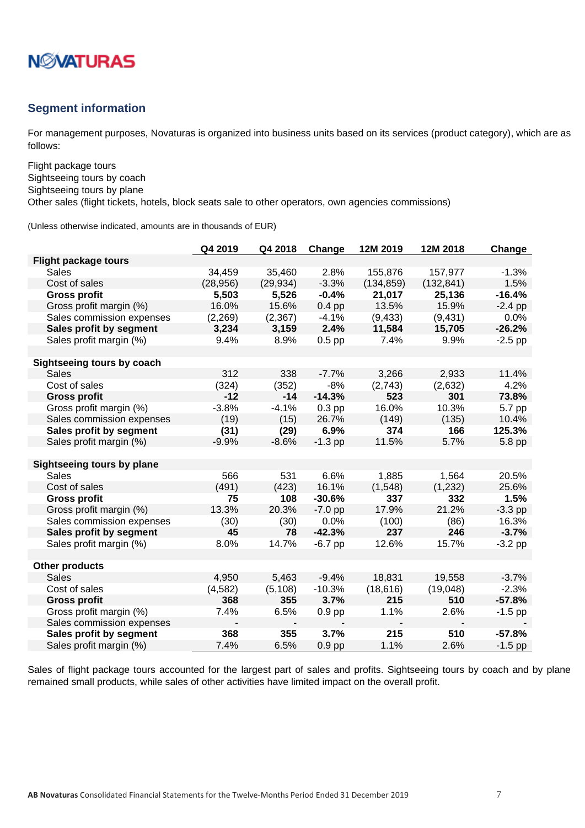

### <span id="page-6-0"></span>**Segment information**

For management purposes, Novaturas is organized into business units based on its services (product category), which are as follows:

Flight package tours Sightseeing tours by coach Sightseeing tours by plane

Other sales (flight tickets, hotels, block seats sale to other operators, own agencies commissions)

(Unless otherwise indicated, amounts are in thousands of EUR)

|                             | Q4 2019   | Q4 2018   | Change    | 12M 2019   | 12M 2018   | Change    |
|-----------------------------|-----------|-----------|-----------|------------|------------|-----------|
| <b>Flight package tours</b> |           |           |           |            |            |           |
| Sales                       | 34,459    | 35,460    | 2.8%      | 155,876    | 157,977    | $-1.3%$   |
| Cost of sales               | (28, 956) | (29, 934) | $-3.3%$   | (134, 859) | (132, 841) | 1.5%      |
| <b>Gross profit</b>         | 5,503     | 5,526     | $-0.4%$   | 21,017     | 25,136     | $-16.4%$  |
| Gross profit margin (%)     | 16.0%     | 15.6%     | $0.4$ pp  | 13.5%      | 15.9%      | $-2.4$ pp |
| Sales commission expenses   | (2,269)   | (2, 367)  | $-4.1%$   | (9, 433)   | (9, 431)   | 0.0%      |
| Sales profit by segment     | 3,234     | 3,159     | 2.4%      | 11,584     | 15,705     | $-26.2%$  |
| Sales profit margin (%)     | 9.4%      | 8.9%      | $0.5$ pp  | 7.4%       | 9.9%       | $-2.5$ pp |
|                             |           |           |           |            |            |           |
| Sightseeing tours by coach  |           |           |           |            |            |           |
| Sales                       | 312       | 338       | $-7.7%$   | 3,266      | 2,933      | 11.4%     |
| Cost of sales               | (324)     | (352)     | $-8%$     | (2,743)    | (2,632)    | 4.2%      |
| <b>Gross profit</b>         | $-12$     | $-14$     | $-14.3%$  | 523        | 301        | 73.8%     |
| Gross profit margin (%)     | $-3.8%$   | $-4.1%$   | $0.3$ pp  | 16.0%      | 10.3%      | 5.7 pp    |
| Sales commission expenses   | (19)      | (15)      | 26.7%     | (149)      | (135)      | 10.4%     |
| Sales profit by segment     | (31)      | (29)      | 6.9%      | 374        | 166        | 125.3%    |
| Sales profit margin (%)     | $-9.9%$   | $-8.6%$   | $-1.3$ pp | 11.5%      | 5.7%       | 5.8 pp    |
|                             |           |           |           |            |            |           |
| Sightseeing tours by plane  |           |           |           |            |            |           |
| <b>Sales</b>                | 566       | 531       | 6.6%      | 1,885      | 1,564      | 20.5%     |
| Cost of sales               | (491)     | (423)     | 16.1%     | (1,548)    | (1, 232)   | 25.6%     |
| <b>Gross profit</b>         | 75        | 108       | $-30.6%$  | 337        | 332        | 1.5%      |
| Gross profit margin (%)     | 13.3%     | 20.3%     | $-7.0$ pp | 17.9%      | 21.2%      | $-3.3$ pp |
| Sales commission expenses   | (30)      | (30)      | 0.0%      | (100)      | (86)       | 16.3%     |
| Sales profit by segment     | 45        | 78        | $-42.3%$  | 237        | 246        | $-3.7%$   |
| Sales profit margin (%)     | 8.0%      | 14.7%     | $-6.7$ pp | 12.6%      | 15.7%      | $-3.2$ pp |
|                             |           |           |           |            |            |           |
| <b>Other products</b>       |           |           |           |            |            |           |
| <b>Sales</b>                | 4,950     | 5,463     | $-9.4%$   | 18,831     | 19,558     | $-3.7%$   |
| Cost of sales               | (4, 582)  | (5, 108)  | $-10.3%$  | (18, 616)  | (19,048)   | $-2.3%$   |
| <b>Gross profit</b>         | 368       | 355       | 3.7%      | 215        | 510        | $-57.8%$  |
| Gross profit margin (%)     | 7.4%      | 6.5%      | $0.9$ pp  | 1.1%       | 2.6%       | $-1.5$ pp |
| Sales commission expenses   |           |           |           |            |            |           |
| Sales profit by segment     | 368       | 355       | 3.7%      | 215        | 510        | $-57.8%$  |
| Sales profit margin (%)     | 7.4%      | 6.5%      | $0.9$ pp  | 1.1%       | 2.6%       | $-1.5$ pp |

Sales of flight package tours accounted for the largest part of sales and profits. Sightseeing tours by coach and by plane remained small products, while sales of other activities have limited impact on the overall profit.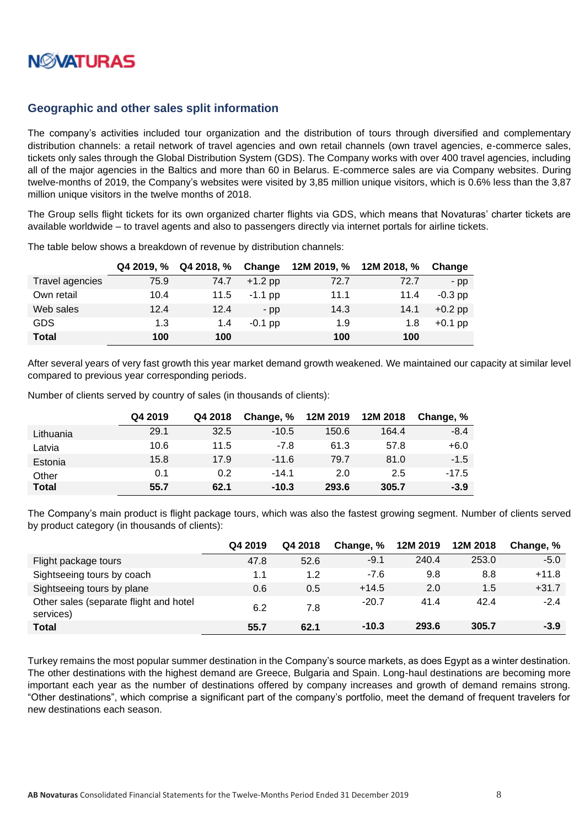

### <span id="page-7-0"></span>**Geographic and other sales split information**

The company's activities included tour organization and the distribution of tours through diversified and complementary distribution channels: a retail network of travel agencies and own retail channels (own travel agencies, e-commerce sales, tickets only sales through the Global Distribution System (GDS). The Company works with over 400 travel agencies, including all of the major agencies in the Baltics and more than 60 in Belarus. E-commerce sales are via Company websites. During twelve-months of 2019, the Company's websites were visited by 3,85 million unique visitors, which is 0.6% less than the 3,87 million unique visitors in the twelve months of 2018.

The Group sells flight tickets for its own organized charter flights via GDS, which means that Novaturas' charter tickets are available worldwide – to travel agents and also to passengers directly via internet portals for airline tickets.

|                 | Q4 2019, % | Q4 2018, % | Change    |      | 12M 2019, % 12M 2018, % | Change    |
|-----------------|------------|------------|-----------|------|-------------------------|-----------|
| Travel agencies | 75.9       | 74.7       | $+1.2$ pp | 72.7 | 72.7                    | $-pp$     |
| Own retail      | 10.4       | 11.5       | $-1.1$ pp | 11.1 | 11.4                    | $-0.3$ pp |
| Web sales       | 12.4       | 12.4       | $-$ pp    | 14.3 | 14.1                    | $+0.2$ pp |
| <b>GDS</b>      | 1.3        | 1.4        | $-0.1$ pp | 1.9  | 1.8                     | $+0.1$ pp |
| <b>Total</b>    | 100        | 100        |           | 100  | 100                     |           |

The table below shows a breakdown of revenue by distribution channels:

After several years of very fast growth this year market demand growth weakened. We maintained our capacity at similar level compared to previous year corresponding periods.

Number of clients served by country of sales (in thousands of clients):

|              | Q4 2019 | Q4 2018 | Change, % | 12M 2019 | 12M 2018 | Change, % |
|--------------|---------|---------|-----------|----------|----------|-----------|
| Lithuania    | 29.1    | 32.5    | $-10.5$   | 150.6    | 164.4    | $-8.4$    |
| Latvia       | 10.6    | 11.5    | $-7.8$    | 61.3     | 57.8     | $+6.0$    |
| Estonia      | 15.8    | 17.9    | $-11.6$   | 79.7     | 81.0     | $-1.5$    |
| Other        | 0.1     | 0.2     | $-14.1$   | 2.0      | 2.5      | $-17.5$   |
| <b>Total</b> | 55.7    | 62.1    | $-10.3$   | 293.6    | 305.7    | $-3.9$    |

The Company's main product is flight package tours, which was also the fastest growing segment. Number of clients served by product category (in thousands of clients):

|                                                     | Q4 2019 | Q4 2018 | Change, % | 12M 2019 | 12M 2018 | Change, % |
|-----------------------------------------------------|---------|---------|-----------|----------|----------|-----------|
| Flight package tours                                | 47.8    | 52.6    | $-9.1$    | 240.4    | 253.0    | $-5.0$    |
| Sightseeing tours by coach                          | 1.1     | 1.2     | $-7.6$    | 9.8      | 8.8      | $+11.8$   |
| Sightseeing tours by plane                          | 0.6     | 0.5     | $+14.5$   | 2.0      | 1.5      | $+31.7$   |
| Other sales (separate flight and hotel<br>services) | 6.2     | 7.8     | $-20.7$   | 41.4     | 42.4     | $-2.4$    |
| <b>Total</b>                                        | 55.7    | 62.1    | $-10.3$   | 293.6    | 305.7    | $-3.9$    |

Turkey remains the most popular summer destination in the Company's source markets, as does Egypt as a winter destination. The other destinations with the highest demand are Greece, Bulgaria and Spain. Long-haul destinations are becoming more important each year as the number of destinations offered by company increases and growth of demand remains strong. "Other destinations", which comprise a significant part of the company's portfolio, meet the demand of frequent travelers for new destinations each season.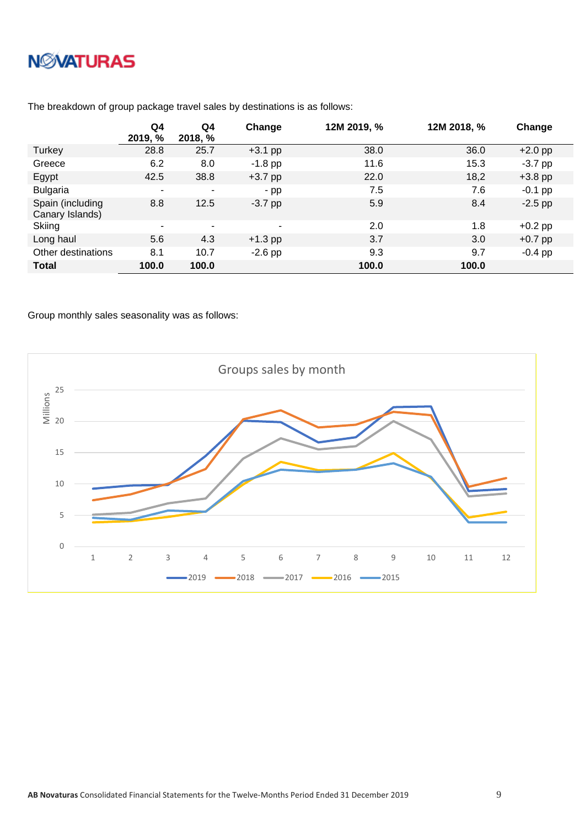|                                     | Q4<br>2019, % | Q4<br>2018, % | Change                   | 12M 2019, % | 12M 2018, % | Change    |
|-------------------------------------|---------------|---------------|--------------------------|-------------|-------------|-----------|
| Turkey                              | 28.8          | 25.7          | $+3.1$ pp                | 38.0        | 36.0        | $+2.0$ pp |
| Greece                              | 6.2           | 8.0           | $-1.8$ pp                | 11.6        | 15.3        | $-3.7$ pp |
| Egypt                               | 42.5          | 38.8          | $+3.7$ pp                | 22.0        | 18,2        | $+3.8$ pp |
| <b>Bulgaria</b>                     |               | ۰             | $-pp$                    | 7.5         | 7.6         | $-0.1$ pp |
| Spain (including<br>Canary Islands) | 8.8           | 12.5          | $-3.7$ pp                | 5.9         | 8.4         | $-2.5$ pp |
| Skiing                              | ۰             | $\sim$        | $\overline{\phantom{a}}$ | 2.0         | 1.8         | $+0.2$ pp |
| Long haul                           | 5.6           | 4.3           | $+1.3$ pp                | 3.7         | 3.0         | $+0.7$ pp |
| Other destinations                  | 8.1           | 10.7          | $-2.6$ pp                | 9.3         | 9.7         | $-0.4$ pp |
| <b>Total</b>                        | 100.0         | 100.0         |                          | 100.0       | 100.0       |           |

The breakdown of group package travel sales by destinations is as follows:

Group monthly sales seasonality was as follows:

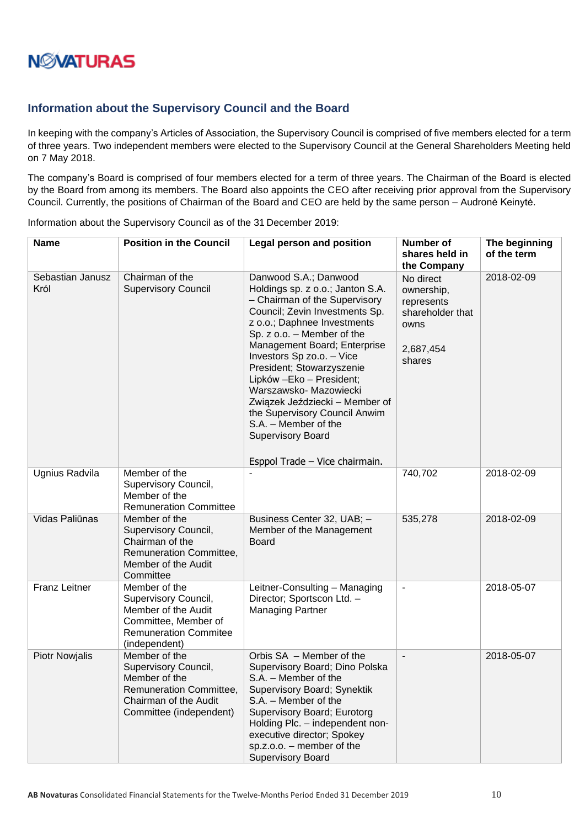### <span id="page-9-0"></span>**Information about the Supervisory Council and the Board**

In keeping with the company's Articles of Association, the Supervisory Council is comprised of five members elected for a term of three years. Two independent members were elected to the Supervisory Council at the General Shareholders Meeting held on 7 May 2018.

The company's Board is comprised of four members elected for a term of three years. The Chairman of the Board is elected by the Board from among its members. The Board also appoints the CEO after receiving prior approval from the Supervisory Council. Currently, the positions of Chairman of the Board and CEO are held by the same person – Audronė Keinytė.

Information about the Supervisory Council as of the 31 December 2019:

| <b>Name</b>              | <b>Position in the Council</b>                                                                                                        | <b>Legal person and position</b>                                                                                                                                                                                                                                                                                                                                                                                                                                                                    | <b>Number of</b><br>shares held in<br>the Company                                        | The beginning<br>of the term |
|--------------------------|---------------------------------------------------------------------------------------------------------------------------------------|-----------------------------------------------------------------------------------------------------------------------------------------------------------------------------------------------------------------------------------------------------------------------------------------------------------------------------------------------------------------------------------------------------------------------------------------------------------------------------------------------------|------------------------------------------------------------------------------------------|------------------------------|
| Sebastian Janusz<br>Król | Chairman of the<br><b>Supervisory Council</b>                                                                                         | Danwood S.A.; Danwood<br>Holdings sp. z o.o.; Janton S.A.<br>- Chairman of the Supervisory<br>Council; Zevin Investments Sp.<br>z o.o.; Daphnee Investments<br>Sp. z o.o. - Member of the<br>Management Board; Enterprise<br>Investors Sp zo.o. - Vice<br>President; Stowarzyszenie<br>Lipków - Eko - President;<br>Warszawsko- Mazowiecki<br>Związek Jeździecki - Member of<br>the Supervisory Council Anwim<br>S.A. - Member of the<br><b>Supervisory Board</b><br>Esppol Trade - Vice chairmain. | No direct<br>ownership,<br>represents<br>shareholder that<br>owns<br>2,687,454<br>shares | 2018-02-09                   |
| Ugnius Radvila           | Member of the<br>Supervisory Council,<br>Member of the<br><b>Remuneration Committee</b>                                               |                                                                                                                                                                                                                                                                                                                                                                                                                                                                                                     | 740,702                                                                                  | 2018-02-09                   |
| Vidas Paliūnas           | Member of the<br>Supervisory Council,<br>Chairman of the<br>Remuneration Committee,<br>Member of the Audit<br>Committee               | Business Center 32, UAB; -<br>Member of the Management<br><b>Board</b>                                                                                                                                                                                                                                                                                                                                                                                                                              | 535,278                                                                                  | 2018-02-09                   |
| <b>Franz Leitner</b>     | Member of the<br>Supervisory Council,<br>Member of the Audit<br>Committee, Member of<br><b>Remuneration Commitee</b><br>(independent) | Leitner-Consulting - Managing<br>Director; Sportscon Ltd. -<br><b>Managing Partner</b>                                                                                                                                                                                                                                                                                                                                                                                                              | $\overline{\phantom{a}}$                                                                 | 2018-05-07                   |
| <b>Piotr Nowjalis</b>    | Member of the<br>Supervisory Council,<br>Member of the<br>Remuneration Committee,<br>Chairman of the Audit<br>Committee (independent) | Orbis SA - Member of the<br>Supervisory Board; Dino Polska<br>S.A. - Member of the<br>Supervisory Board; Synektik<br>S.A. - Member of the<br>Supervisory Board; Eurotorg<br>Holding Plc. - independent non-<br>executive director; Spokey<br>$sp.z.o.o.$ - member of the<br><b>Supervisory Board</b>                                                                                                                                                                                                | $\blacksquare$                                                                           | 2018-05-07                   |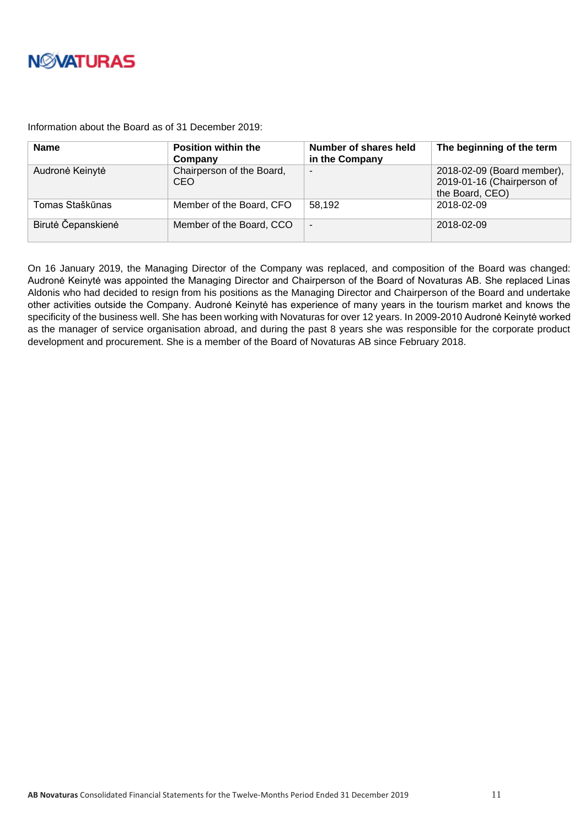

Information about the Board as of 31 December 2019:

| <b>Name</b>        | <b>Position within the</b><br>Company | Number of shares held<br>in the Company | The beginning of the term                                                   |
|--------------------|---------------------------------------|-----------------------------------------|-----------------------------------------------------------------------------|
| Audronė Keinytė    | Chairperson of the Board,<br>CEO.     | -                                       | 2018-02-09 (Board member),<br>2019-01-16 (Chairperson of<br>the Board, CEO) |
| Tomas Staškūnas    | Member of the Board, CFO              | 58,192                                  | 2018-02-09                                                                  |
| Birutė Čepanskienė | Member of the Board, CCO              | $\overline{\phantom{a}}$                | 2018-02-09                                                                  |

On 16 January 2019, the Managing Director of the Company was replaced, and composition of the Board was changed: Audronė Keinytė was appointed the Managing Director and Chairperson of the Board of Novaturas AB. She replaced Linas Aldonis who had decided to resign from his positions as the Managing Director and Chairperson of the Board and undertake other activities outside the Company. Audronė Keinytė has experience of many years in the tourism market and knows the specificity of the business well. She has been working with Novaturas for over 12 years. In 2009-2010 Audronė Keinytė worked as the manager of service organisation abroad, and during the past 8 years she was responsible for the corporate product development and procurement. She is a member of the Board of Novaturas AB since February 2018.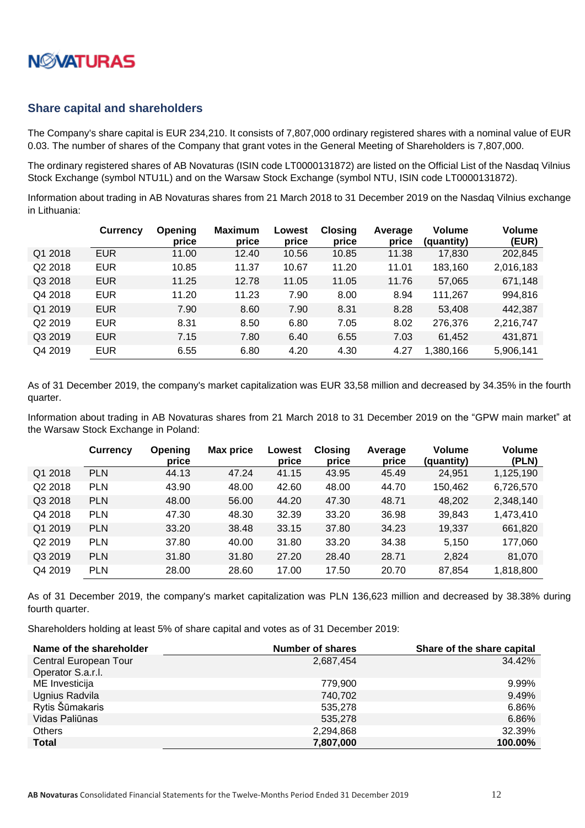

#### <span id="page-11-0"></span>**Share capital and shareholders**

The Company's share capital is EUR 234,210. It consists of 7,807,000 ordinary registered shares with a nominal value of EUR 0.03. The number of shares of the Company that grant votes in the General Meeting of Shareholders is 7,807,000.

The ordinary registered shares of AB Novaturas (ISIN code LT0000131872) are listed on the Official List of the Nasdaq Vilnius Stock Exchange (symbol NTU1L) and on the Warsaw Stock Exchange (symbol NTU, ISIN code LT0000131872).

Information about trading in AB Novaturas shares from 21 March 2018 to 31 December 2019 on the Nasdaq Vilnius exchange in Lithuania:

|         | <b>Currency</b> | Opening<br>price | <b>Maximum</b><br>price | Lowest<br>price | <b>Closing</b><br>price | Average<br>price | <b>Volume</b><br>(quantity) | <b>Volume</b><br>(EUR) |
|---------|-----------------|------------------|-------------------------|-----------------|-------------------------|------------------|-----------------------------|------------------------|
| Q1 2018 | <b>EUR</b>      | 11.00            | 12.40                   | 10.56           | 10.85                   | 11.38            | 17,830                      | 202,845                |
| Q2 2018 | <b>EUR</b>      | 10.85            | 11.37                   | 10.67           | 11.20                   | 11.01            | 183,160                     | 2,016,183              |
| Q3 2018 | <b>EUR</b>      | 11.25            | 12.78                   | 11.05           | 11.05                   | 11.76            | 57,065                      | 671,148                |
| Q4 2018 | <b>EUR</b>      | 11.20            | 11.23                   | 7.90            | 8.00                    | 8.94             | 111,267                     | 994,816                |
| Q1 2019 | <b>EUR</b>      | 7.90             | 8.60                    | 7.90            | 8.31                    | 8.28             | 53,408                      | 442,387                |
| Q2 2019 | <b>EUR</b>      | 8.31             | 8.50                    | 6.80            | 7.05                    | 8.02             | 276,376                     | 2,216,747              |
| Q3 2019 | <b>EUR</b>      | 7.15             | 7.80                    | 6.40            | 6.55                    | 7.03             | 61,452                      | 431,871                |
| Q4 2019 | <b>EUR</b>      | 6.55             | 6.80                    | 4.20            | 4.30                    | 4.27             | 1,380,166                   | 5,906,141              |

As of 31 December 2019, the company's market capitalization was EUR 33,58 million and decreased by 34.35% in the fourth quarter.

Information about trading in AB Novaturas shares from 21 March 2018 to 31 December 2019 on the "GPW main market" at the Warsaw Stock Exchange in Poland:

|         | <b>Currency</b> | <b>Opening</b><br>price | <b>Max price</b> | Lowest<br>price | <b>Closing</b><br>price | Average<br>price | <b>Volume</b><br>(quantity) | <b>Volume</b><br>(PLN) |
|---------|-----------------|-------------------------|------------------|-----------------|-------------------------|------------------|-----------------------------|------------------------|
| Q1 2018 | <b>PLN</b>      | 44.13                   | 47.24            | 41.15           | 43.95                   | 45.49            | 24,951                      | 1,125,190              |
| Q2 2018 | <b>PLN</b>      | 43.90                   | 48.00            | 42.60           | 48.00                   | 44.70            | 150,462                     | 6,726,570              |
| Q3 2018 | <b>PLN</b>      | 48.00                   | 56.00            | 44.20           | 47.30                   | 48.71            | 48,202                      | 2,348,140              |
| Q4 2018 | <b>PLN</b>      | 47.30                   | 48.30            | 32.39           | 33.20                   | 36.98            | 39,843                      | 1,473,410              |
| Q1 2019 | <b>PLN</b>      | 33.20                   | 38.48            | 33.15           | 37.80                   | 34.23            | 19,337                      | 661,820                |
| Q2 2019 | <b>PLN</b>      | 37.80                   | 40.00            | 31.80           | 33.20                   | 34.38            | 5,150                       | 177,060                |
| Q3 2019 | <b>PLN</b>      | 31.80                   | 31.80            | 27.20           | 28.40                   | 28.71            | 2,824                       | 81,070                 |
| Q4 2019 | <b>PLN</b>      | 28.00                   | 28.60            | 17.00           | 17.50                   | 20.70            | 87,854                      | 1,818,800              |

As of 31 December 2019, the company's market capitalization was PLN 136,623 million and decreased by 38.38% during fourth quarter.

Shareholders holding at least 5% of share capital and votes as of 31 December 2019:

| Name of the shareholder | Number of shares | Share of the share capital |
|-------------------------|------------------|----------------------------|
| Central European Tour   | 2.687.454        | 34.42%                     |
| Operator S.a.r.l.       |                  |                            |
| ME Investicija          | 779.900          | 9.99%                      |
| Ugnius Radvila          | 740,702          | 9.49%                      |
| Rytis Šūmakaris         | 535,278          | 6.86%                      |
| Vidas Paliūnas          | 535,278          | 6.86%                      |
| Others                  | 2,294,868        | 32.39%                     |
| <b>Total</b>            | 7,807,000        | 100.00%                    |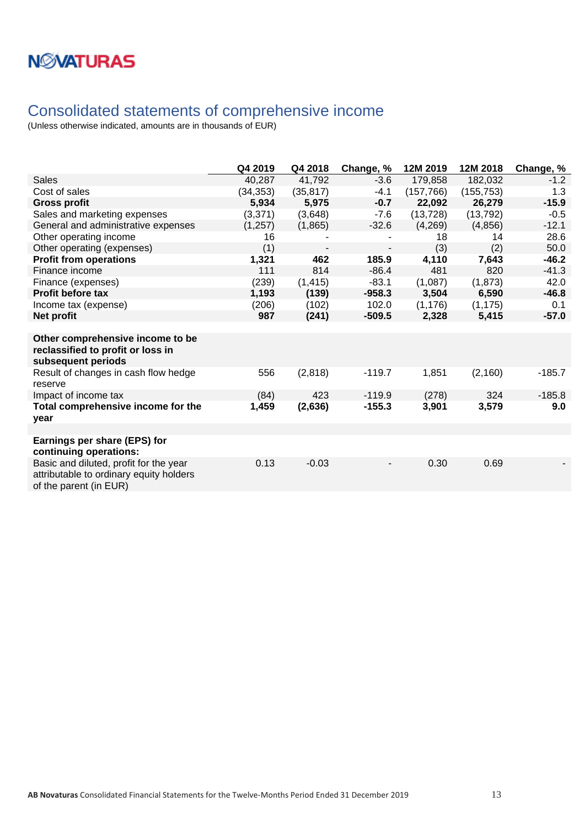### <span id="page-12-0"></span>Consolidated statements of comprehensive income

|                                                                                                             | Q4 2019   | Q4 2018   | Change, % | 12M 2019   | 12M 2018   | Change, % |
|-------------------------------------------------------------------------------------------------------------|-----------|-----------|-----------|------------|------------|-----------|
| <b>Sales</b>                                                                                                | 40,287    | 41,792    | $-3.6$    | 179,858    | 182,032    | $-1.2$    |
| Cost of sales                                                                                               | (34, 353) | (35, 817) | $-4.1$    | (157, 766) | (155, 753) | 1.3       |
| <b>Gross profit</b>                                                                                         | 5,934     | 5,975     | $-0.7$    | 22,092     | 26,279     | $-15.9$   |
| Sales and marketing expenses                                                                                | (3,371)   | (3,648)   | $-7.6$    | (13, 728)  | (13, 792)  | $-0.5$    |
| General and administrative expenses                                                                         | (1, 257)  | (1,865)   | $-32.6$   | (4,269)    | (4,856)    | $-12.1$   |
| Other operating income                                                                                      | 16        |           |           | 18         | 14         | 28.6      |
| Other operating (expenses)                                                                                  | (1)       |           |           | (3)        | (2)        | 50.0      |
| <b>Profit from operations</b>                                                                               | 1,321     | 462       | 185.9     | 4,110      | 7,643      | $-46.2$   |
| Finance income                                                                                              | 111       | 814       | $-86.4$   | 481        | 820        | $-41.3$   |
| Finance (expenses)                                                                                          | (239)     | (1, 415)  | $-83.1$   | (1,087)    | (1, 873)   | 42.0      |
| <b>Profit before tax</b>                                                                                    | 1,193     | (139)     | $-958.3$  | 3,504      | 6,590      | $-46.8$   |
| Income tax (expense)                                                                                        | (206)     | (102)     | 102.0     | (1, 176)   | (1, 175)   | 0.1       |
| Net profit                                                                                                  | 987       | (241)     | $-509.5$  | 2,328      | 5,415      | $-57.0$   |
|                                                                                                             |           |           |           |            |            |           |
| Other comprehensive income to be<br>reclassified to profit or loss in<br>subsequent periods                 |           |           |           |            |            |           |
| Result of changes in cash flow hedge<br>reserve                                                             | 556       | (2,818)   | $-119.7$  | 1,851      | (2, 160)   | $-185.7$  |
| Impact of income tax                                                                                        | (84)      | 423       | $-119.9$  | (278)      | 324        | $-185.8$  |
| Total comprehensive income for the<br>year                                                                  | 1,459     | (2,636)   | $-155.3$  | 3,901      | 3,579      | 9.0       |
|                                                                                                             |           |           |           |            |            |           |
| Earnings per share (EPS) for<br>continuing operations:                                                      |           |           |           |            |            |           |
| Basic and diluted, profit for the year<br>attributable to ordinary equity holders<br>of the parent (in EUR) | 0.13      | $-0.03$   |           | 0.30       | 0.69       |           |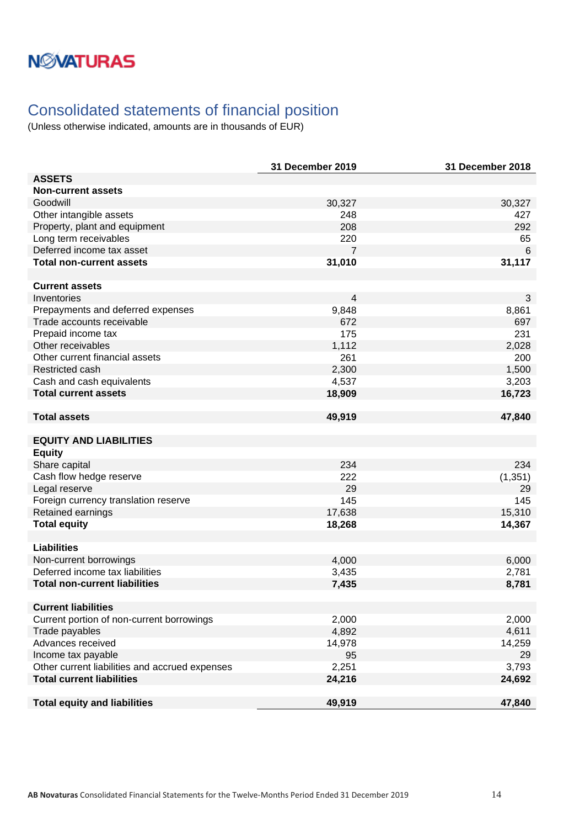## **NMATURAS**

## <span id="page-13-0"></span>Consolidated statements of financial position

|                                                | 31 December 2019 | 31 December 2018 |
|------------------------------------------------|------------------|------------------|
| <b>ASSETS</b>                                  |                  |                  |
| <b>Non-current assets</b>                      |                  |                  |
| Goodwill                                       | 30,327           | 30,327           |
| Other intangible assets                        | 248              | 427              |
| Property, plant and equipment                  | 208              | 292              |
| Long term receivables                          | 220              | 65               |
| Deferred income tax asset                      | 7                | $6\phantom{1}6$  |
| <b>Total non-current assets</b>                | 31,010           | 31,117           |
|                                                |                  |                  |
| <b>Current assets</b>                          |                  |                  |
| Inventories                                    | $\overline{4}$   | 3                |
| Prepayments and deferred expenses              | 9,848            | 8,861            |
| Trade accounts receivable                      | 672              | 697              |
| Prepaid income tax                             | 175              | 231              |
| Other receivables                              | 1,112            | 2,028            |
| Other current financial assets                 | 261              | 200              |
| Restricted cash                                | 2,300            | 1,500            |
| Cash and cash equivalents                      | 4,537            | 3,203            |
| <b>Total current assets</b>                    | 18,909           | 16,723           |
| <b>Total assets</b>                            | 49,919           | 47,840           |
|                                                |                  |                  |
| <b>EQUITY AND LIABILITIES</b>                  |                  |                  |
| <b>Equity</b>                                  |                  |                  |
| Share capital                                  | 234              | 234              |
| Cash flow hedge reserve                        | 222              | (1, 351)         |
| Legal reserve                                  | 29               | 29               |
| Foreign currency translation reserve           | 145              | 145              |
| Retained earnings                              | 17,638           | 15,310           |
| <b>Total equity</b>                            | 18,268           | 14,367           |
|                                                |                  |                  |
| <b>Liabilities</b>                             |                  |                  |
| Non-current borrowings                         | 4,000            | 6,000            |
| Deferred income tax liabilities                | 3,435            | 2,781            |
| <b>Total non-current liabilities</b>           | 7,435            | 8,781            |
| <b>Current liabilities</b>                     |                  |                  |
| Current portion of non-current borrowings      | 2,000            | 2,000            |
| Trade payables                                 | 4,892            | 4,611            |
| Advances received                              | 14,978           | 14,259           |
| Income tax payable                             | 95               | 29               |
| Other current liabilities and accrued expenses | 2,251            | 3,793            |
| <b>Total current liabilities</b>               | 24,216           | 24,692           |
|                                                |                  |                  |
| <b>Total equity and liabilities</b>            | 49,919           | 47,840           |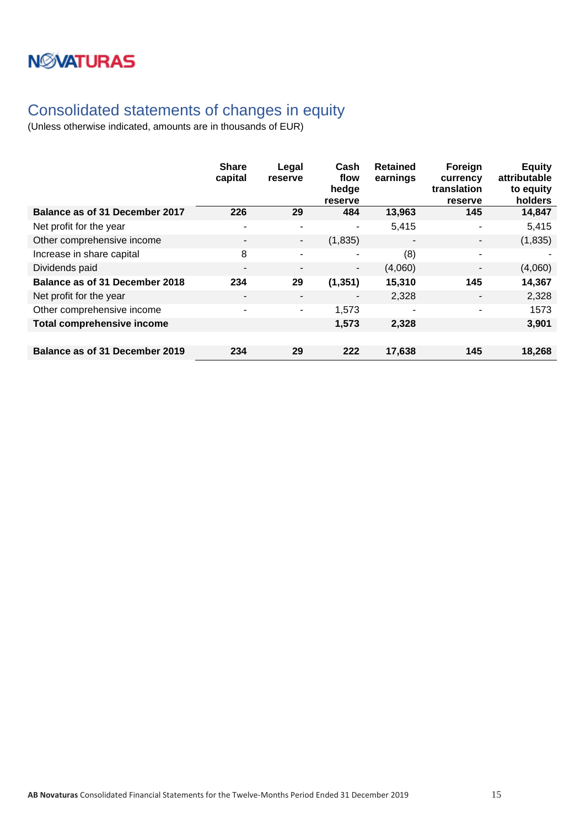## <span id="page-14-0"></span>Consolidated statements of changes in equity

|                                       | <b>Share</b><br>capital  | Legal<br>reserve         | Cash<br>flow<br>hedge<br>reserve | <b>Retained</b><br>earnings | Foreign<br>currency<br>translation<br>reserve | <b>Equity</b><br>attributable<br>to equity<br>holders |
|---------------------------------------|--------------------------|--------------------------|----------------------------------|-----------------------------|-----------------------------------------------|-------------------------------------------------------|
| <b>Balance as of 31 December 2017</b> | 226                      | 29                       | 484                              | 13,963                      | 145                                           | 14,847                                                |
| Net profit for the year               | $\overline{\phantom{a}}$ | $\overline{\phantom{a}}$ | ٠                                | 5,415                       | $\blacksquare$                                | 5,415                                                 |
| Other comprehensive income            | $\overline{\phantom{a}}$ | ٠                        | (1,835)                          | $\overline{\phantom{a}}$    |                                               | (1,835)                                               |
| Increase in share capital             | 8                        | $\overline{\phantom{0}}$ | ۰                                | (8)                         | ٠                                             |                                                       |
| Dividends paid                        | $\overline{\phantom{a}}$ | $\overline{\phantom{a}}$ | $\overline{\phantom{a}}$         | (4,060)                     | $\blacksquare$                                | (4,060)                                               |
| <b>Balance as of 31 December 2018</b> | 234                      | 29                       | (1, 351)                         | 15,310                      | 145                                           | 14,367                                                |
| Net profit for the year               | ٠                        | $\overline{\phantom{a}}$ | ٠                                | 2,328                       | $\overline{\phantom{a}}$                      | 2,328                                                 |
| Other comprehensive income            | $\overline{\phantom{a}}$ | $\blacksquare$           | 1,573                            | ٠                           | ۰                                             | 1573                                                  |
| <b>Total comprehensive income</b>     |                          |                          | 1,573                            | 2,328                       |                                               | 3,901                                                 |
|                                       |                          |                          |                                  |                             |                                               |                                                       |
| Balance as of 31 December 2019        | 234                      | 29                       | 222                              | 17,638                      | 145                                           | 18,268                                                |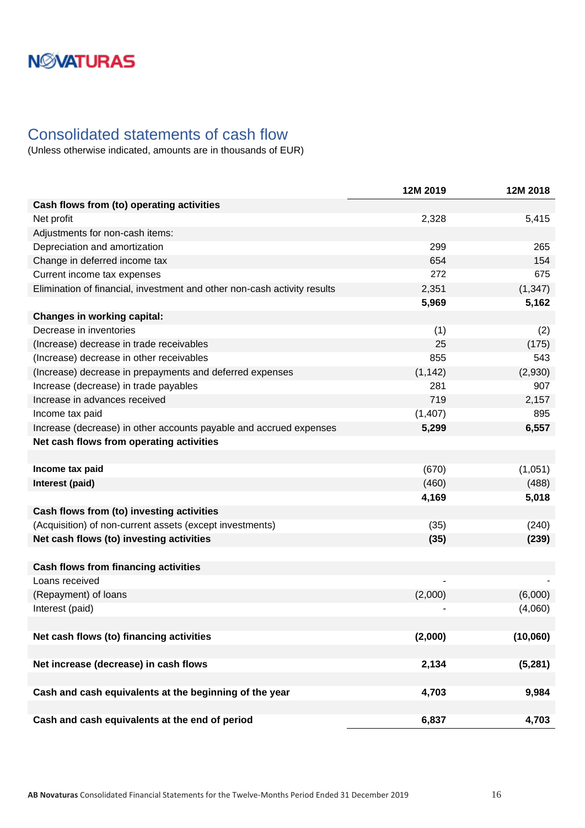### <span id="page-15-0"></span>Consolidated statements of cash flow

|                                                                          | 12M 2019 | 12M 2018 |
|--------------------------------------------------------------------------|----------|----------|
| Cash flows from (to) operating activities                                |          |          |
| Net profit                                                               | 2,328    | 5,415    |
| Adjustments for non-cash items:                                          |          |          |
| Depreciation and amortization                                            | 299      | 265      |
| Change in deferred income tax                                            | 654      | 154      |
| Current income tax expenses                                              | 272      | 675      |
| Elimination of financial, investment and other non-cash activity results | 2,351    | (1, 347) |
|                                                                          | 5,969    | 5,162    |
| <b>Changes in working capital:</b>                                       |          |          |
| Decrease in inventories                                                  | (1)      | (2)      |
| (Increase) decrease in trade receivables                                 | 25       | (175)    |
| (Increase) decrease in other receivables                                 | 855      | 543      |
| (Increase) decrease in prepayments and deferred expenses                 | (1, 142) | (2,930)  |
| Increase (decrease) in trade payables                                    | 281      | 907      |
| Increase in advances received                                            | 719      | 2,157    |
| Income tax paid                                                          | (1, 407) | 895      |
| Increase (decrease) in other accounts payable and accrued expenses       | 5,299    | 6,557    |
| Net cash flows from operating activities                                 |          |          |
|                                                                          |          |          |
| Income tax paid                                                          | (670)    | (1,051)  |
| Interest (paid)                                                          | (460)    | (488)    |
|                                                                          | 4,169    | 5,018    |
| Cash flows from (to) investing activities                                |          |          |
| (Acquisition) of non-current assets (except investments)                 | (35)     | (240)    |
| Net cash flows (to) investing activities                                 | (35)     | (239)    |
|                                                                          |          |          |
| <b>Cash flows from financing activities</b>                              |          |          |
| Loans received                                                           |          |          |
| (Repayment) of loans                                                     | (2,000)  | (6,000)  |
| Interest (paid)                                                          |          | (4,060)  |
|                                                                          |          |          |
| Net cash flows (to) financing activities                                 | (2,000)  | (10,060) |
|                                                                          |          |          |
| Net increase (decrease) in cash flows                                    | 2,134    | (5, 281) |
|                                                                          |          |          |
| Cash and cash equivalents at the beginning of the year                   | 4,703    | 9,984    |
|                                                                          |          |          |
| Cash and cash equivalents at the end of period                           | 6,837    | 4,703    |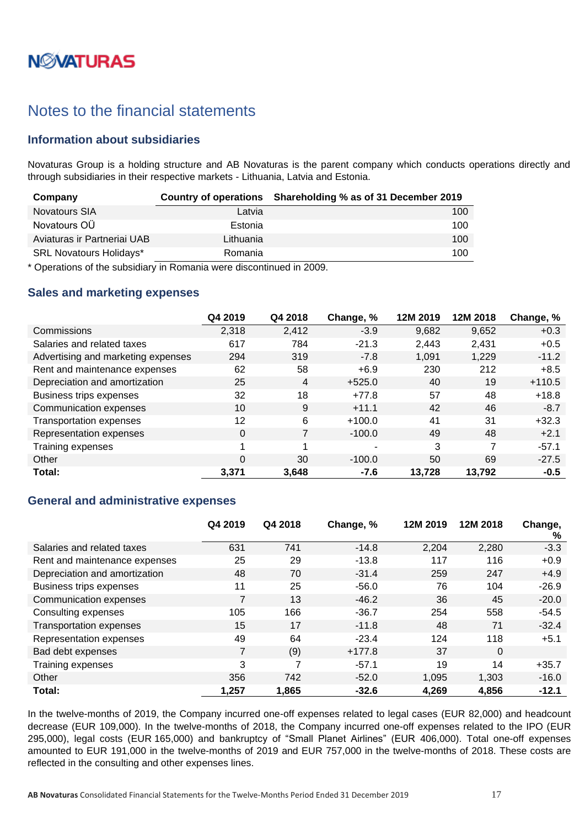# **NØVATURAS**

### <span id="page-16-0"></span>Notes to the financial statements

### <span id="page-16-1"></span>**Information about subsidiaries**

Novaturas Group is a holding structure and AB Novaturas is the parent company which conducts operations directly and through subsidiaries in their respective markets - Lithuania, Latvia and Estonia.

| Company                        |           | Country of operations Shareholding % as of 31 December 2019 |
|--------------------------------|-----------|-------------------------------------------------------------|
| Novatours SIA                  | Latvia    | 100                                                         |
| Novatours OU                   | Estonia   | 100                                                         |
| Aviaturas ir Partneriai UAB    | Lithuania | 100                                                         |
| <b>SRL Novatours Holidays*</b> | Romania   | 100                                                         |

\* Operations of the subsidiary in Romania were discontinued in 2009.

#### <span id="page-16-2"></span>**Sales and marketing expenses**

|                                    | Q4 2019 | Q4 2018        | Change, % | 12M 2019 | 12M 2018 | Change, % |
|------------------------------------|---------|----------------|-----------|----------|----------|-----------|
| Commissions                        | 2,318   | 2,412          | $-3.9$    | 9,682    | 9,652    | $+0.3$    |
| Salaries and related taxes         | 617     | 784            | $-21.3$   | 2,443    | 2,431    | $+0.5$    |
| Advertising and marketing expenses | 294     | 319            | $-7.8$    | 1.091    | 1,229    | $-11.2$   |
| Rent and maintenance expenses      | 62      | 58             | $+6.9$    | 230      | 212      | $+8.5$    |
| Depreciation and amortization      | 25      | $\overline{4}$ | $+525.0$  | 40       | 19       | $+110.5$  |
| Business trips expenses            | 32      | 18             | $+77.8$   | 57       | 48       | $+18.8$   |
| Communication expenses             | 10      | 9              | $+11.1$   | 42       | 46       | $-8.7$    |
| <b>Transportation expenses</b>     | 12      | 6              | $+100.0$  | 41       | 31       | $+32.3$   |
| Representation expenses            | 0       | 7              | $-100.0$  | 49       | 48       | $+2.1$    |
| Training expenses                  |         |                | ۰         | 3        |          | $-57.1$   |
| Other                              | 0       | 30             | $-100.0$  | 50       | 69       | $-27.5$   |
| Total:                             | 3,371   | 3,648          | $-7.6$    | 13,728   | 13,792   | $-0.5$    |

#### <span id="page-16-3"></span>**General and administrative expenses**

|                                | Q4 2019 | Q4 2018 | Change, % | 12M 2019 | 12M 2018 | Change,<br>% |
|--------------------------------|---------|---------|-----------|----------|----------|--------------|
| Salaries and related taxes     | 631     | 741     | $-14.8$   | 2,204    | 2,280    | $-3.3$       |
| Rent and maintenance expenses  | 25      | 29      | $-13.8$   | 117      | 116      | $+0.9$       |
| Depreciation and amortization  | 48      | 70      | $-31.4$   | 259      | 247      | $+4.9$       |
| <b>Business trips expenses</b> | 11      | 25      | $-56.0$   | 76       | 104      | $-26.9$      |
| Communication expenses         |         | 13      | $-46.2$   | 36       | 45       | $-20.0$      |
| Consulting expenses            | 105     | 166     | $-36.7$   | 254      | 558      | $-54.5$      |
| <b>Transportation expenses</b> | 15      | 17      | $-11.8$   | 48       | 71       | $-32.4$      |
| Representation expenses        | 49      | 64      | $-23.4$   | 124      | 118      | $+5.1$       |
| Bad debt expenses              | 7       | (9)     | $+177.8$  | 37       | $\Omega$ |              |
| Training expenses              | 3       | 7       | $-57.1$   | 19       | 14       | $+35.7$      |
| Other                          | 356     | 742     | $-52.0$   | 1.095    | 1,303    | $-16.0$      |
| Total:                         | 1,257   | 1,865   | $-32.6$   | 4,269    | 4,856    | $-12.1$      |

In the twelve-months of 2019, the Company incurred one-off expenses related to legal cases (EUR 82,000) and headcount decrease (EUR 109,000). In the twelve-months of 2018, the Company incurred one-off expenses related to the IPO (EUR 295,000), legal costs (EUR 165,000) and bankruptcy of "Small Planet Airlines" (EUR 406,000). Total one-off expenses amounted to EUR 191,000 in the twelve-months of 2019 and EUR 757,000 in the twelve-months of 2018. These costs are reflected in the consulting and other expenses lines.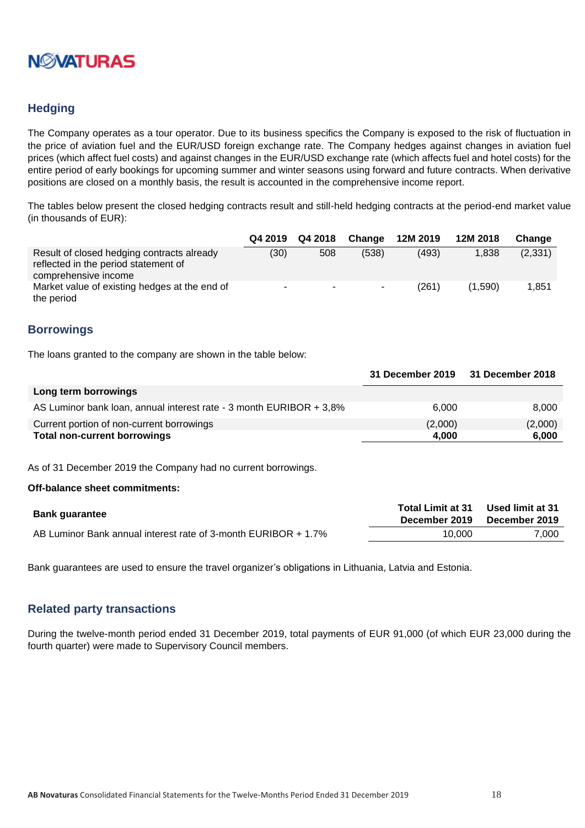

### <span id="page-17-0"></span>**Hedging**

The Company operates as a tour operator. Due to its business specifics the Company is exposed to the risk of fluctuation in the price of aviation fuel and the EUR/USD foreign exchange rate. The Company hedges against changes in aviation fuel prices (which affect fuel costs) and against changes in the EUR/USD exchange rate (which affects fuel and hotel costs) for the entire period of early bookings for upcoming summer and winter seasons using forward and future contracts. When derivative positions are closed on a monthly basis, the result is accounted in the comprehensive income report.

The tables below present the closed hedging contracts result and still-held hedging contracts at the period-end market value (in thousands of EUR):

|                                                                                                            |                          | Q4 2019 Q4 2018 | Change | 12M 2019 | 12M 2018 | Change   |
|------------------------------------------------------------------------------------------------------------|--------------------------|-----------------|--------|----------|----------|----------|
| Result of closed hedging contracts already<br>reflected in the period statement of<br>comprehensive income | (30)                     | 508             | (538)  | (493)    | 1.838    | (2, 331) |
| Market value of existing hedges at the end of<br>the period                                                | $\overline{\phantom{a}}$ | <b>COL</b>      |        | (261)    | (1.590)  | 1,851    |

#### <span id="page-17-1"></span>**Borrowings**

The loans granted to the company are shown in the table below:

|                                                                     | 31 December 2019 31 December 2018 |         |
|---------------------------------------------------------------------|-----------------------------------|---------|
| Long term borrowings                                                |                                   |         |
| AS Luminor bank loan, annual interest rate - 3 month EURIBOR + 3,8% | 6.000                             | 8.000   |
| Current portion of non-current borrowings                           | (2,000)                           | (2,000) |
| <b>Total non-current borrowings</b>                                 | 4.000                             | 6,000   |

As of 31 December 2019 the Company had no current borrowings.

#### **Off-balance sheet commitments:**

| <b>Bank guarantee</b>                                          | <b>Total Limit at 31</b><br>December 2019 | Used limit at 31<br>December 2019 |
|----------------------------------------------------------------|-------------------------------------------|-----------------------------------|
| AB Luminor Bank annual interest rate of 3-month EURIBOR + 1.7% | 10.000                                    | 7,000                             |

Bank guarantees are used to ensure the travel organizer's obligations in Lithuania, Latvia and Estonia.

#### <span id="page-17-2"></span>**Related party transactions**

During the twelve-month period ended 31 December 2019, total payments of EUR 91,000 (of which EUR 23,000 during the fourth quarter) were made to Supervisory Council members.